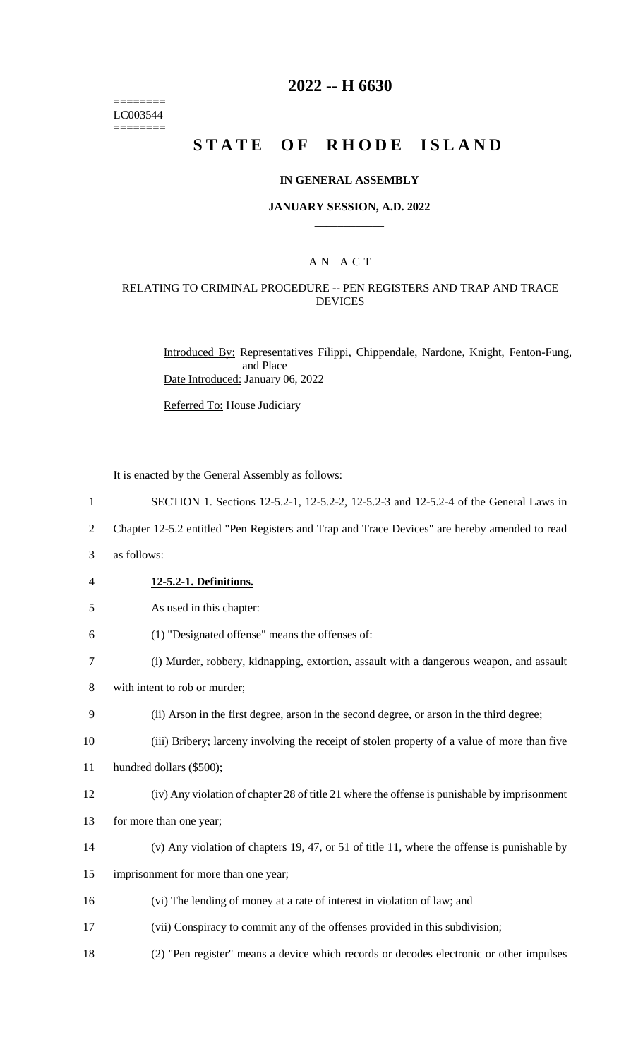======== LC003544 ========

# **2022 -- H 6630**

# **STATE OF RHODE ISLAND**

## **IN GENERAL ASSEMBLY**

## **JANUARY SESSION, A.D. 2022 \_\_\_\_\_\_\_\_\_\_\_\_**

# A N A C T

## RELATING TO CRIMINAL PROCEDURE -- PEN REGISTERS AND TRAP AND TRACE DEVICES

Introduced By: Representatives Filippi, Chippendale, Nardone, Knight, Fenton-Fung, and Place Date Introduced: January 06, 2022

Referred To: House Judiciary

It is enacted by the General Assembly as follows:

- 1 SECTION 1. Sections 12-5.2-1, 12-5.2-2, 12-5.2-3 and 12-5.2-4 of the General Laws in
- 2 Chapter 12-5.2 entitled "Pen Registers and Trap and Trace Devices" are hereby amended to read
- 3 as follows:
- 4 **12-5.2-1. Definitions.**
- 5 As used in this chapter:
- 6 (1) "Designated offense" means the offenses of:
- 7 (i) Murder, robbery, kidnapping, extortion, assault with a dangerous weapon, and assault
- 8 with intent to rob or murder;
- 9 (ii) Arson in the first degree, arson in the second degree, or arson in the third degree;
- 10 (iii) Bribery; larceny involving the receipt of stolen property of a value of more than five
- 11 hundred dollars (\$500);
- 12 (iv) Any violation of chapter 28 of title 21 where the offense is punishable by imprisonment
- 13 for more than one year;
- 14 (v) Any violation of chapters 19, 47, or 51 of title 11, where the offense is punishable by
- 15 imprisonment for more than one year;
- 16 (vi) The lending of money at a rate of interest in violation of law; and
- 17 (vii) Conspiracy to commit any of the offenses provided in this subdivision;
- 18 (2) "Pen register" means a device which records or decodes electronic or other impulses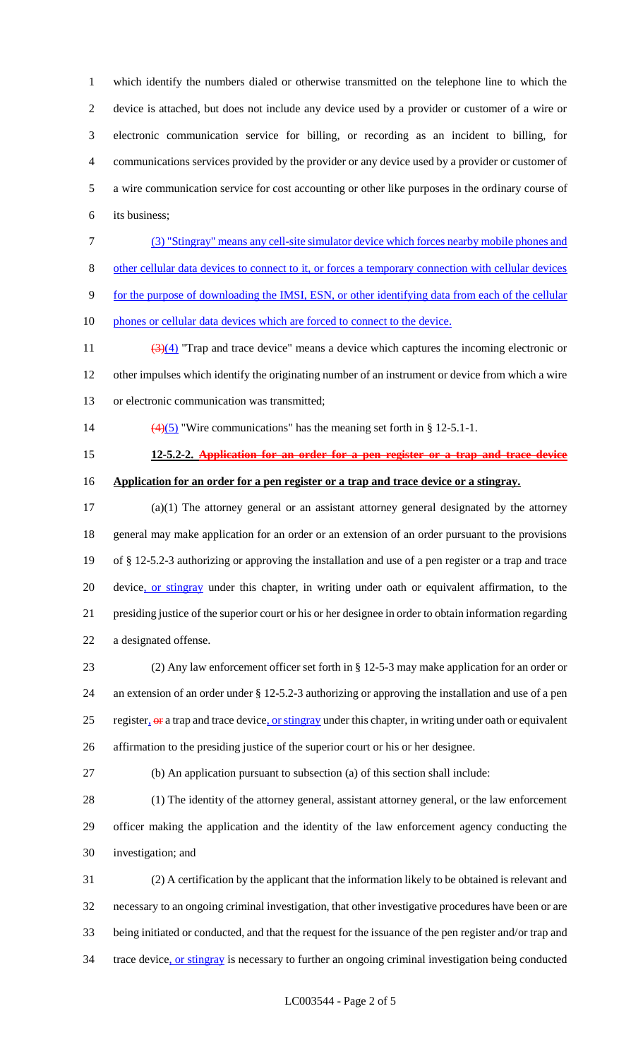which identify the numbers dialed or otherwise transmitted on the telephone line to which the device is attached, but does not include any device used by a provider or customer of a wire or electronic communication service for billing, or recording as an incident to billing, for communications services provided by the provider or any device used by a provider or customer of a wire communication service for cost accounting or other like purposes in the ordinary course of its business;

 (3) "Stingray" means any cell-site simulator device which forces nearby mobile phones and other cellular data devices to connect to it, or forces a temporary connection with cellular devices

for the purpose of downloading the IMSI, ESN, or other identifying data from each of the cellular

10 phones or cellular data devices which are forced to connect to the device.

11  $\left(\frac{3(4)}{1}\right)$  "Trap and trace device" means a device which captures the incoming electronic or other impulses which identify the originating number of an instrument or device from which a wire or electronic communication was transmitted;

- 
- 

14  $\left(\frac{4}{5}\right)$  "Wire communications" has the meaning set forth in § 12-5.1-1.

**12-5.2-2. Application for an order for a pen register or a trap and trace device**

**Application for an order for a pen register or a trap and trace device or a stingray.**

 (a)(1) The attorney general or an assistant attorney general designated by the attorney general may make application for an order or an extension of an order pursuant to the provisions of § 12-5.2-3 authorizing or approving the installation and use of a pen register or a trap and trace 20 device, or stingray under this chapter, in writing under oath or equivalent affirmation, to the presiding justice of the superior court or his or her designee in order to obtain information regarding a designated offense.

 (2) Any law enforcement officer set forth in § 12-5-3 may make application for an order or an extension of an order under § 12-5.2-3 authorizing or approving the installation and use of a pen 25 register, or a trap and trace device, or stingray under this chapter, in writing under oath or equivalent affirmation to the presiding justice of the superior court or his or her designee.

(b) An application pursuant to subsection (a) of this section shall include:

 (1) The identity of the attorney general, assistant attorney general, or the law enforcement officer making the application and the identity of the law enforcement agency conducting the investigation; and

 (2) A certification by the applicant that the information likely to be obtained is relevant and necessary to an ongoing criminal investigation, that other investigative procedures have been or are being initiated or conducted, and that the request for the issuance of the pen register and/or trap and 34 trace device, or stingray is necessary to further an ongoing criminal investigation being conducted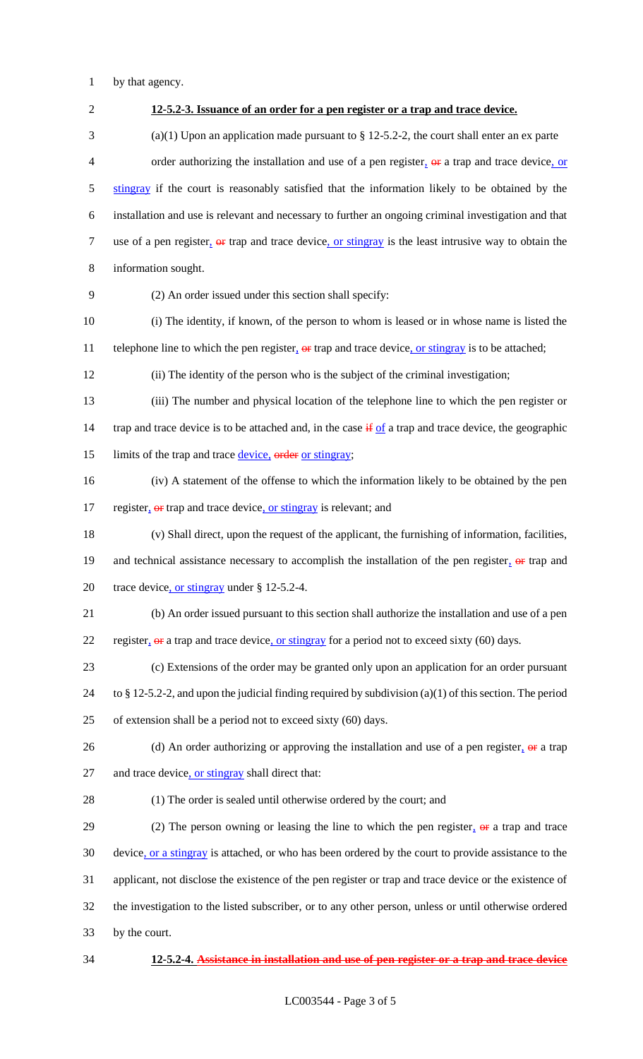1 by that agency.

 **12-5.2-3. Issuance of an order for a pen register or a trap and trace device.** (a)(1) Upon an application made pursuant to § 12-5.2-2, the court shall enter an ex parte 4 order authorizing the installation and use of a pen register,  $\Theta$  a trap and trace device, or 5 stingray if the court is reasonably satisfied that the information likely to be obtained by the installation and use is relevant and necessary to further an ongoing criminal investigation and that 7 use of a pen register,  $\Theta$  trap and trace device, or stingray is the least intrusive way to obtain the information sought. (2) An order issued under this section shall specify: (i) The identity, if known, of the person to whom is leased or in whose name is listed the 11 telephone line to which the pen register,  $\theta$  trap and trace device, or stingray is to be attached; (ii) The identity of the person who is the subject of the criminal investigation; (iii) The number and physical location of the telephone line to which the pen register or 14 trap and trace device is to be attached and, in the case  $\frac{1}{2}$  if a trap and trace device, the geographic 15 limits of the trap and trace device, order or stingray; (iv) A statement of the offense to which the information likely to be obtained by the pen 17 register,  $\Theta$  er trap and trace device, or stingray is relevant; and (v) Shall direct, upon the request of the applicant, the furnishing of information, facilities, 19 and technical assistance necessary to accomplish the installation of the pen register,  $\theta$  trap and 20 trace device, or stingray under § 12-5.2-4. (b) An order issued pursuant to this section shall authorize the installation and use of a pen 22 register,  $\theta$  a trap and trace device, or stingray for a period not to exceed sixty (60) days. (c) Extensions of the order may be granted only upon an application for an order pursuant to § 12-5.2-2, and upon the judicial finding required by subdivision (a)(1) of this section. The period of extension shall be a period not to exceed sixty (60) days. 26 (d) An order authorizing or approving the installation and use of a pen register,  $\theta$  a trap 27 and trace device, or stingray shall direct that: (1) The order is sealed until otherwise ordered by the court; and 29 (2) The person owning or leasing the line to which the pen register,  $\Theta$  a trap and trace device, or a stingray is attached, or who has been ordered by the court to provide assistance to the applicant, not disclose the existence of the pen register or trap and trace device or the existence of the investigation to the listed subscriber, or to any other person, unless or until otherwise ordered by the court. **12-5.2-4. Assistance in installation and use of pen register or a trap and trace device**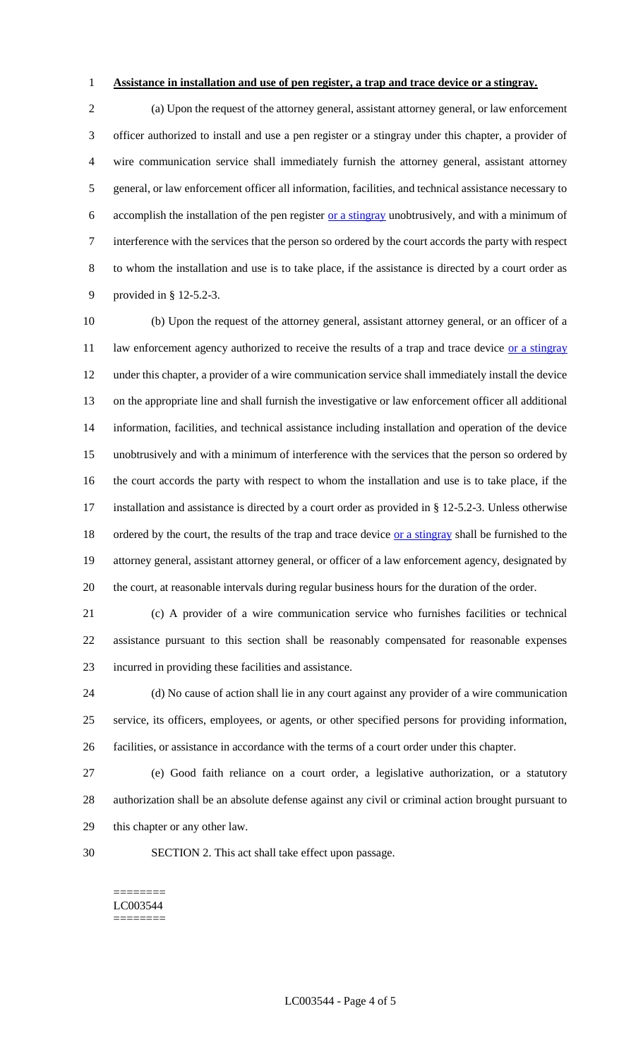## **Assistance in installation and use of pen register, a trap and trace device or a stingray.**

 (a) Upon the request of the attorney general, assistant attorney general, or law enforcement officer authorized to install and use a pen register or a stingray under this chapter, a provider of wire communication service shall immediately furnish the attorney general, assistant attorney general, or law enforcement officer all information, facilities, and technical assistance necessary to 6 accomplish the installation of the pen register or a stingray unobtrusively, and with a minimum of interference with the services that the person so ordered by the court accords the party with respect to whom the installation and use is to take place, if the assistance is directed by a court order as provided in § 12-5.2-3.

 (b) Upon the request of the attorney general, assistant attorney general, or an officer of a 11 law enforcement agency authorized to receive the results of a trap and trace device or a stingray under this chapter, a provider of a wire communication service shall immediately install the device on the appropriate line and shall furnish the investigative or law enforcement officer all additional information, facilities, and technical assistance including installation and operation of the device unobtrusively and with a minimum of interference with the services that the person so ordered by the court accords the party with respect to whom the installation and use is to take place, if the installation and assistance is directed by a court order as provided in § 12-5.2-3. Unless otherwise 18 ordered by the court, the results of the trap and trace device or a stingray shall be furnished to the attorney general, assistant attorney general, or officer of a law enforcement agency, designated by the court, at reasonable intervals during regular business hours for the duration of the order.

 (c) A provider of a wire communication service who furnishes facilities or technical assistance pursuant to this section shall be reasonably compensated for reasonable expenses incurred in providing these facilities and assistance.

 (d) No cause of action shall lie in any court against any provider of a wire communication service, its officers, employees, or agents, or other specified persons for providing information, facilities, or assistance in accordance with the terms of a court order under this chapter.

 (e) Good faith reliance on a court order, a legislative authorization, or a statutory authorization shall be an absolute defense against any civil or criminal action brought pursuant to this chapter or any other law.

SECTION 2. This act shall take effect upon passage.

#### ======== LC003544 ========